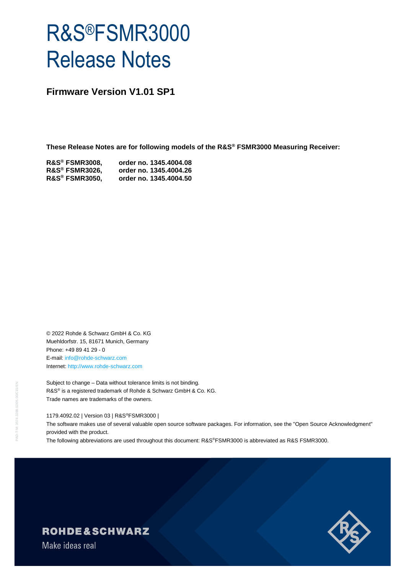# R&S®FSMR3000 Release Notes

**Firmware Version V1.01 SP1**

**These Release Notes are for following models of the R&S® FSMR3000 Measuring Receiver:**

| <b>R&amp;S® FSMR3008,</b> | order no. 1345.4004.08 |
|---------------------------|------------------------|
| <b>R&amp;S® FSMR3026,</b> | order no. 1345.4004.26 |
| <b>R&amp;S® FSMR3050,</b> | order no. 1345.4004.50 |

© 2022 Rohde & Schwarz GmbH & Co. KG Muehldorfstr. 15, 81671 Munich, Germany Phone: +49 89 41 29 - 0 E-mail: [info@rohde-schwarz.com](mailto:info@rohde-schwarz.com) Internet[: http://www.rohde-schwarz.com](http://www.rohde-schwarz.com/)

Subject to change – Data without tolerance limits is not binding. R&S<sup>®</sup> is a registered trademark of Rohde & Schwarz GmbH & Co. KG. Trade names are trademarks of the owners.

1179.4092.02 | Version 03 | R&S®FSMR3000 |

The software makes use of several valuable open source software packages. For information, see the "Open Source Acknowledgment" provided with the product.

The following abbreviations are used throughout this document: R&S®FSMR3000 is abbreviated as R&S FSMR3000.



# **ROHDE&SCHWARZ**

Make ideas real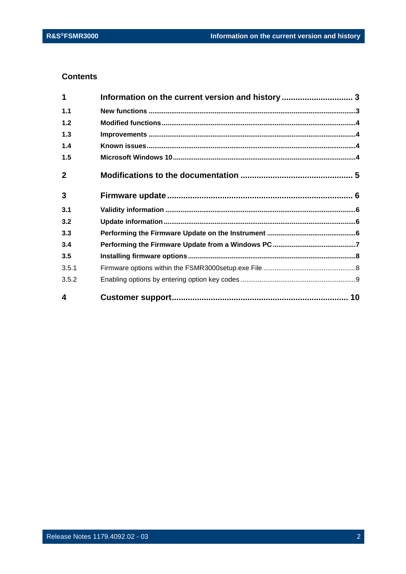### **Contents**

| 4            |                                                  |  |
|--------------|--------------------------------------------------|--|
| 3.5.2        |                                                  |  |
| 3.5.1        |                                                  |  |
| 3.5          |                                                  |  |
| 3.4          |                                                  |  |
| 3.3          |                                                  |  |
| 3.2          |                                                  |  |
| 3.1          |                                                  |  |
| 3            |                                                  |  |
| $\mathbf{2}$ |                                                  |  |
| 1.5          |                                                  |  |
| 1.4          |                                                  |  |
| 1.3          |                                                  |  |
| 1.2          |                                                  |  |
| 1.1          |                                                  |  |
| 1            | Information on the current version and history 3 |  |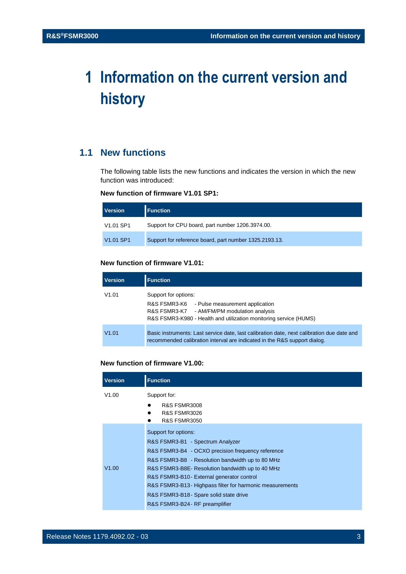## <span id="page-2-0"></span>**1 Information on the current version and history**

## <span id="page-2-1"></span>**1.1 New functions**

The following table lists the new functions and indicates the version in which the new function was introduced:

#### **New function of firmware V1.01 SP1:**

| <b>Version</b>                    | <b>Function</b>                                        |
|-----------------------------------|--------------------------------------------------------|
| V <sub>1.01</sub> SP <sub>1</sub> | Support for CPU board, part number 1206.3974.00.       |
| V <sub>1.01</sub> SP <sub>1</sub> | Support for reference board, part number 1325.2193.13. |

#### **New function of firmware V1.01:**

| <b>Version</b> | <b>Function</b>                                                                                                                                                                                |
|----------------|------------------------------------------------------------------------------------------------------------------------------------------------------------------------------------------------|
| V1.01          | Support for options:<br>R&S FSMR3-K6<br>- Pulse measurement application<br>- AM/FM/PM modulation analysis<br>R&S FSMR3-K7<br>R&S FSMR3-K980 - Health and utilization monitoring service (HUMS) |
| V1.01          | Basic instruments: Last service date, last calibration date, next calibration due date and<br>recommended calibration interval are indicated in the R&S support dialog.                        |

#### **New function of firmware V1.00:**

| <b>Version</b> | <b>Function</b>                                           |  |
|----------------|-----------------------------------------------------------|--|
| V1.00          | Support for:                                              |  |
|                | <b>R&amp;S FSMR3008</b>                                   |  |
|                | <b>R&amp;S FSMR3026</b>                                   |  |
|                | <b>R&amp;S FSMR3050</b>                                   |  |
|                | Support for options:                                      |  |
|                | R&S FSMR3-B1 - Spectrum Analyzer                          |  |
|                | R&S FSMR3-B4 - OCXO precision frequency reference         |  |
|                | R&S FSMR3-B8 - Resolution bandwidth up to 80 MHz          |  |
| V1.00          | R&S FSMR3-B8E- Resolution bandwidth up to 40 MHz          |  |
|                | R&S FSMR3-B10 - External generator control                |  |
|                | R&S FSMR3-B13 - Highpass filter for harmonic measurements |  |
|                | R&S FSMR3-B18 - Spare solid state drive                   |  |
|                | R&S FSMR3-B24 - RF preamplifier                           |  |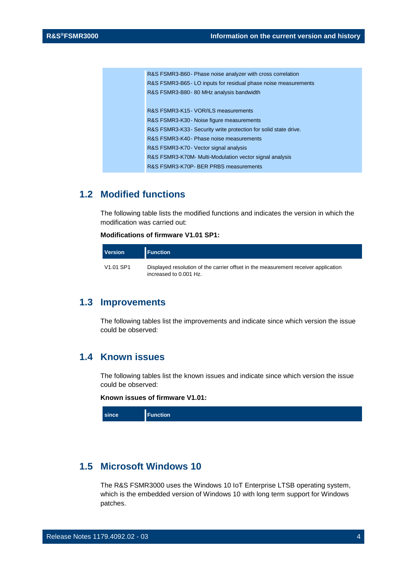| R&S FSMR3-B60 - Phase noise analyzer with cross correlation      |
|------------------------------------------------------------------|
| R&S FSMR3-B65 - LO inputs for residual phase noise measurements  |
| R&S FSMR3-B80 - 80 MHz analysis bandwidth                        |
|                                                                  |
| R&S FSMR3-K15 - VOR/ILS measurements                             |
| R&S FSMR3-K30 - Noise figure measurements                        |
| R&S FSMR3-K33 - Security write protection for solid state drive. |
| R&S FSMR3-K40 - Phase noise measurements                         |
| R&S FSMR3-K70 - Vector signal analysis                           |
| R&S FSMR3-K70M- Multi-Modulation vector signal analysis          |
| R&S FSMR3-K70P- BER PRBS measurements                            |

## <span id="page-3-0"></span>**1.2 Modified functions**

The following table lists the modified functions and indicates the version in which the modification was carried out:

#### **Modifications of firmware V1.01 SP1:**

| <b>Version</b> | <b>Function</b>                                                                                              |
|----------------|--------------------------------------------------------------------------------------------------------------|
| V1.01 SP1      | Displayed resolution of the carrier offset in the measurement receiver application<br>increased to 0.001 Hz. |

## <span id="page-3-1"></span>**1.3 Improvements**

<span id="page-3-2"></span>The following tables list the improvements and indicate since which version the issue could be observed:

## **1.4 Known issues**

The following tables list the known issues and indicate since which version the issue could be observed:

#### **Known issues of firmware V1.01:**

| since |
|-------|
|-------|

## <span id="page-3-3"></span>**1.5 Microsoft Windows 10**

The R&S FSMR3000 uses the Windows 10 IoT Enterprise LTSB operating system, which is the embedded version of Windows 10 with long term support for Windows patches.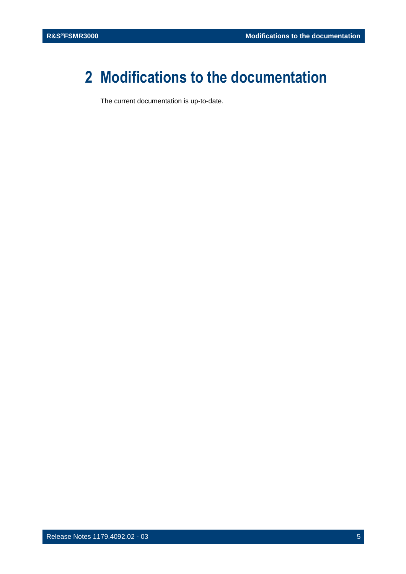## <span id="page-4-0"></span>**2 Modifications to the documentation**

The current documentation is up-to-date.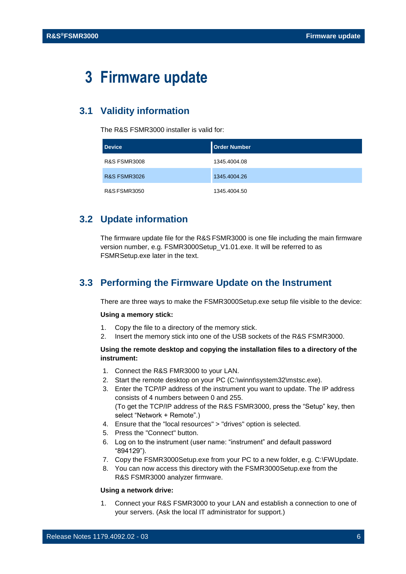## <span id="page-5-0"></span>**3 Firmware update**

## <span id="page-5-1"></span>**3.1 Validity information**

The R&S FSMR3000 installer is valid for:

| <b>Device</b>           | <b>Order Number</b> |
|-------------------------|---------------------|
| <b>R&amp;S FSMR3008</b> | 1345.4004.08        |
| <b>R&amp;S FSMR3026</b> | 1345.4004.26        |
| <b>R&amp;S FSMR3050</b> | 1345.4004.50        |

## <span id="page-5-2"></span>**3.2 Update information**

The firmware update file for the R&S FSMR3000 is one file including the main firmware version number, e.g. FSMR3000Setup\_V1.01.exe. It will be referred to as FSMRSetup.exe later in the text.

## <span id="page-5-3"></span>**3.3 Performing the Firmware Update on the Instrument**

There are three ways to make the FSMR3000Setup.exe setup file visible to the device:

#### **Using a memory stick:**

- 1. Copy the file to a directory of the memory stick.
- 2. Insert the memory stick into one of the USB sockets of the R&S FSMR3000.

#### **Using the remote desktop and copying the installation files to a directory of the instrument:**

- 1. Connect the R&S FMR3000 to your LAN.
- 2. Start the remote desktop on your PC (C:\winnt\system32\mstsc.exe).
- 3. Enter the TCP/IP address of the instrument you want to update. The IP address consists of 4 numbers between 0 and 255. (To get the TCP/IP address of the R&S FSMR3000, press the "Setup" key, then select "Network + Remote".)
- 4. Ensure that the "local resources" > "drives" option is selected.
- 5. Press the "Connect" button.
- 6. Log on to the instrument (user name: "instrument" and default password "894129").
- 7. Copy the FSMR3000Setup.exe from your PC to a new folder, e.g. C:\FWUpdate.
- 8. You can now access this directory with the FSMR3000Setup.exe from the R&S FSMR3000 analyzer firmware.

#### **Using a network drive:**

1. Connect your R&S FSMR3000 to your LAN and establish a connection to one of your servers. (Ask the local IT administrator for support.)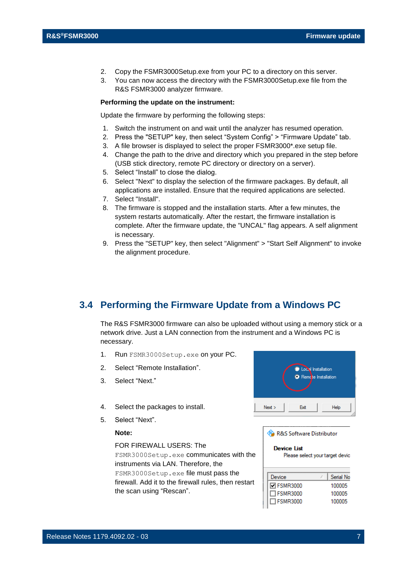- 2. Copy the FSMR3000Setup.exe from your PC to a directory on this server.
- 3. You can now access the directory with the FSMR3000Setup.exe file from the R&S FSMR3000 analyzer firmware.

#### **Performing the update on the instrument:**

Update the firmware by performing the following steps:

- 1. Switch the instrument on and wait until the analyzer has resumed operation.
- 2. Press the "SETUP" key, then select "System Config" > "Firmware Update" tab.
- 3. A file browser is displayed to select the proper FSMR3000\*.exe setup file.
- 4. Change the path to the drive and directory which you prepared in the step before (USB stick directory, remote PC directory or directory on a server).
- 5. Select "Install" to close the dialog.
- 6. Select "Next" to display the selection of the firmware packages. By default, all applications are installed. Ensure that the required applications are selected.
- 7. Select "Install".
- 8. The firmware is stopped and the installation starts. After a few minutes, the system restarts automatically. After the restart, the firmware installation is complete. After the firmware update, the "UNCAL" flag appears. A self alignment is necessary.
- 9. Press the "SETUP" key, then select "Alignment" > "Start Self Alignment" to invoke the alignment procedure.

## <span id="page-6-0"></span>**3.4 Performing the Firmware Update from a Windows PC**

The R&S FSMR3000 firmware can also be uploaded without using a memory stick or a network drive. Just a LAN connection from the instrument and a Windows PC is necessary.

- 1. Run FSMR3000Setup.exe on your PC.
- 2. Select "Remote Installation".
- 3. Select "Next."
- 4. Select the packages to install.
- 5. Select "Next".

#### **Note:**

FOR FIREWALL USERS: The

FSMR3000Setup.exe communicates with the instruments via LAN. Therefore, the FSMR3000Setup.exe file must pass the firewall. Add it to the firewall rules, then restart the scan using "Rescan".



R&S Software Distributor

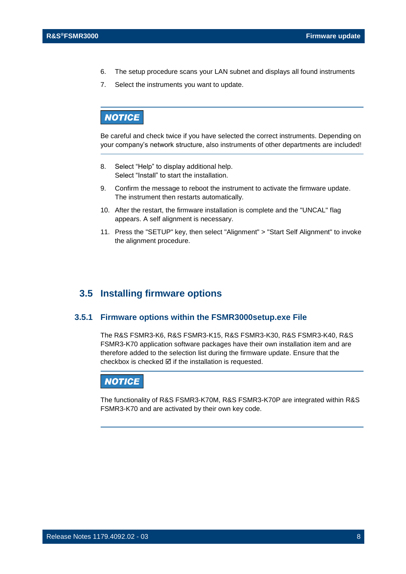- 6. The setup procedure scans your LAN subnet and displays all found instruments
- 7. Select the instruments you want to update.

## **NOTICE**

Be careful and check twice if you have selected the correct instruments. Depending on your company's network structure, also instruments of other departments are included!

- 8. Select "Help" to display additional help. Select "Install" to start the installation.
- 9. Confirm the message to reboot the instrument to activate the firmware update. The instrument then restarts automatically.
- 10. After the restart, the firmware installation is complete and the "UNCAL" flag appears. A self alignment is necessary.
- 11. Press the "SETUP" key, then select "Alignment" > "Start Self Alignment" to invoke the alignment procedure.

## <span id="page-7-0"></span>**3.5 Installing firmware options**

#### **3.5.1 Firmware options within the FSMR3000setup.exe File**

<span id="page-7-1"></span>The R&S FSMR3-K6, R&S FSMR3-K15, R&S FSMR3-K30, R&S FSMR3-K40, R&S FSMR3-K70 application software packages have their own installation item and are therefore added to the selection list during the firmware update. Ensure that the checkbox is checked  $\boxtimes$  if the installation is requested.

### **NOTICE**

The functionality of R&S FSMR3-K70M, R&S FSMR3-K70P are integrated within R&S FSMR3-K70 and are activated by their own key code.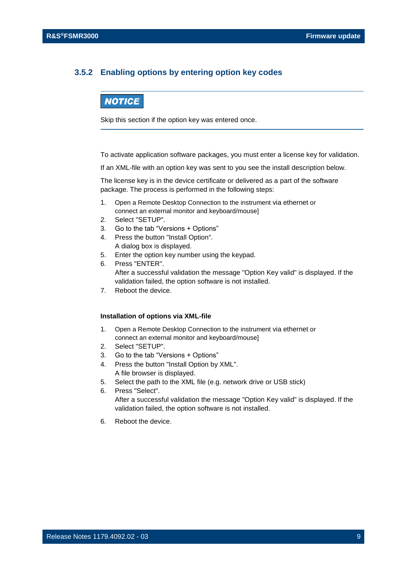#### <span id="page-8-0"></span>**3.5.2 Enabling options by entering option key codes**

### **NOTICE**

Skip this section if the option key was entered once.

To activate application software packages, you must enter a license key for validation.

If an XML-file with an option key was sent to you see the install description below.

The license key is in the device certificate or delivered as a part of the software package. The process is performed in the following steps:

- 1. Open a Remote Desktop Connection to the instrument via ethernet or connect an external monitor and keyboard/mouse]
- 2. Select "SETUP".
- 3. Go to the tab "Versions + Options"
- 4. Press the button "Install Option". A dialog box is displayed.
- 5. Enter the option key number using the keypad.
- 6. Press "ENTER". After a successful validation the message "Option Key valid" is displayed. If the validation failed, the option software is not installed.
- 7. Reboot the device.

#### **Installation of options via XML-file**

- 1. Open a Remote Desktop Connection to the instrument via ethernet or connect an external monitor and keyboard/mouse]
- 2. Select "SETUP".
- 3. Go to the tab "Versions + Options"
- 4. Press the button "Install Option by XML". A file browser is displayed.
- 5. Select the path to the XML file (e.g. network drive or USB stick)
- 6. Press "Select". After a successful validation the message "Option Key valid" is displayed. If the validation failed, the option software is not installed.
- 6. Reboot the device.